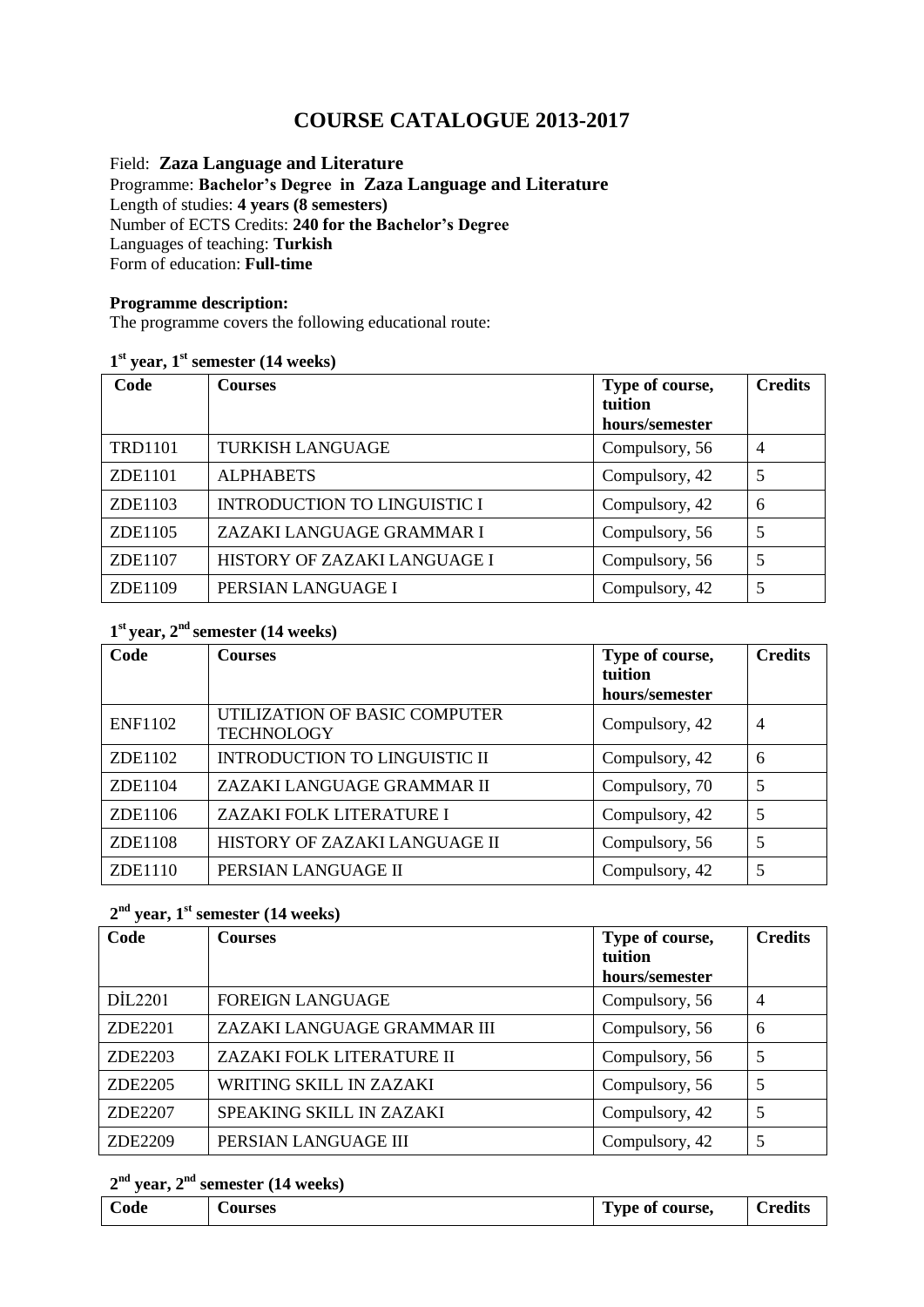# **COURSE CATALOGUE 2013-2017**

#### Field: **Zaza Language and Literature** Programme: **Bachelor's Degree in Zaza Language and Literature** Length of studies: **4 years (8 semesters)**  Number of ECTS Credits: **240 for the Bachelor's Degree** Languages of teaching: **Turkish** Form of education: **Full-time**

## **Programme description:**

The programme covers the following educational route:

## **1 st year, 1st semester (14 weeks)**

| Code           | <b>Courses</b>                      | Type of course,<br>tuition | <b>Credits</b> |
|----------------|-------------------------------------|----------------------------|----------------|
|                |                                     | hours/semester             |                |
| <b>TRD1101</b> | <b>TURKISH LANGUAGE</b>             | Compulsory, 56             | $\overline{4}$ |
| ZDE1101        | <b>ALPHABETS</b>                    | Compulsory, 42             | 5              |
| ZDE1103        | <b>INTRODUCTION TO LINGUISTIC I</b> | Compulsory, 42             | 6              |
| ZDE1105        | ZAZAKI LANGUAGE GRAMMAR I           | Compulsory, 56             | 5              |
| ZDE1107        | HISTORY OF ZAZAKI LANGUAGE I        | Compulsory, 56             | 5              |
| ZDE1109        | PERSIAN LANGUAGE I                  | Compulsory, 42             | 5              |

## **1 st year, 2nd semester (14 weeks)**

| Code           | <b>Courses</b>                                     | Type of course,<br>tuition | <b>Credits</b> |
|----------------|----------------------------------------------------|----------------------------|----------------|
|                |                                                    | hours/semester             |                |
| <b>ENF1102</b> | UTILIZATION OF BASIC COMPUTER<br><b>TECHNOLOGY</b> | Compulsory, 42             | $\overline{4}$ |
| ZDE1102        | <b>INTRODUCTION TO LINGUISTIC II</b>               | Compulsory, 42             | 6              |
| ZDE1104        | ZAZAKI LANGUAGE GRAMMAR II                         | Compulsory, 70             | 5              |
| ZDE1106        | ZAZAKI FOLK LITERATURE I                           | Compulsory, 42             | 5              |
| ZDE1108        | HISTORY OF ZAZAKI LANGUAGE II                      | Compulsory, 56             | 5              |
| ZDE1110        | PERSIAN LANGUAGE II                                | Compulsory, 42             | 5              |

# **2 nd year, 1st semester (14 weeks)**

| Code    | <b>Courses</b>                 | Type of course, | <b>Credits</b> |
|---------|--------------------------------|-----------------|----------------|
|         |                                | tuition         |                |
|         |                                | hours/semester  |                |
| DIL2201 | <b>FOREIGN LANGUAGE</b>        | Compulsory, 56  | $\overline{4}$ |
| ZDE2201 | ZAZAKI LANGUAGE GRAMMAR III    | Compulsory, 56  | 6              |
| ZDE2203 | ZAZAKI FOLK LITERATURE II      | Compulsory, 56  | 5              |
| ZDE2205 | <b>WRITING SKILL IN ZAZAKI</b> | Compulsory, 56  | 5              |
| ZDE2207 | SPEAKING SKILL IN ZAZAKI       | Compulsory, 42  | 5              |
| ZDE2209 | PERSIAN LANGUAGE III           | Compulsory, 42  | 5              |

#### **2 nd year, 2 nd semester (14 weeks)**

| Code | Courses | Type of course, | -<br><b>Predits</b> |
|------|---------|-----------------|---------------------|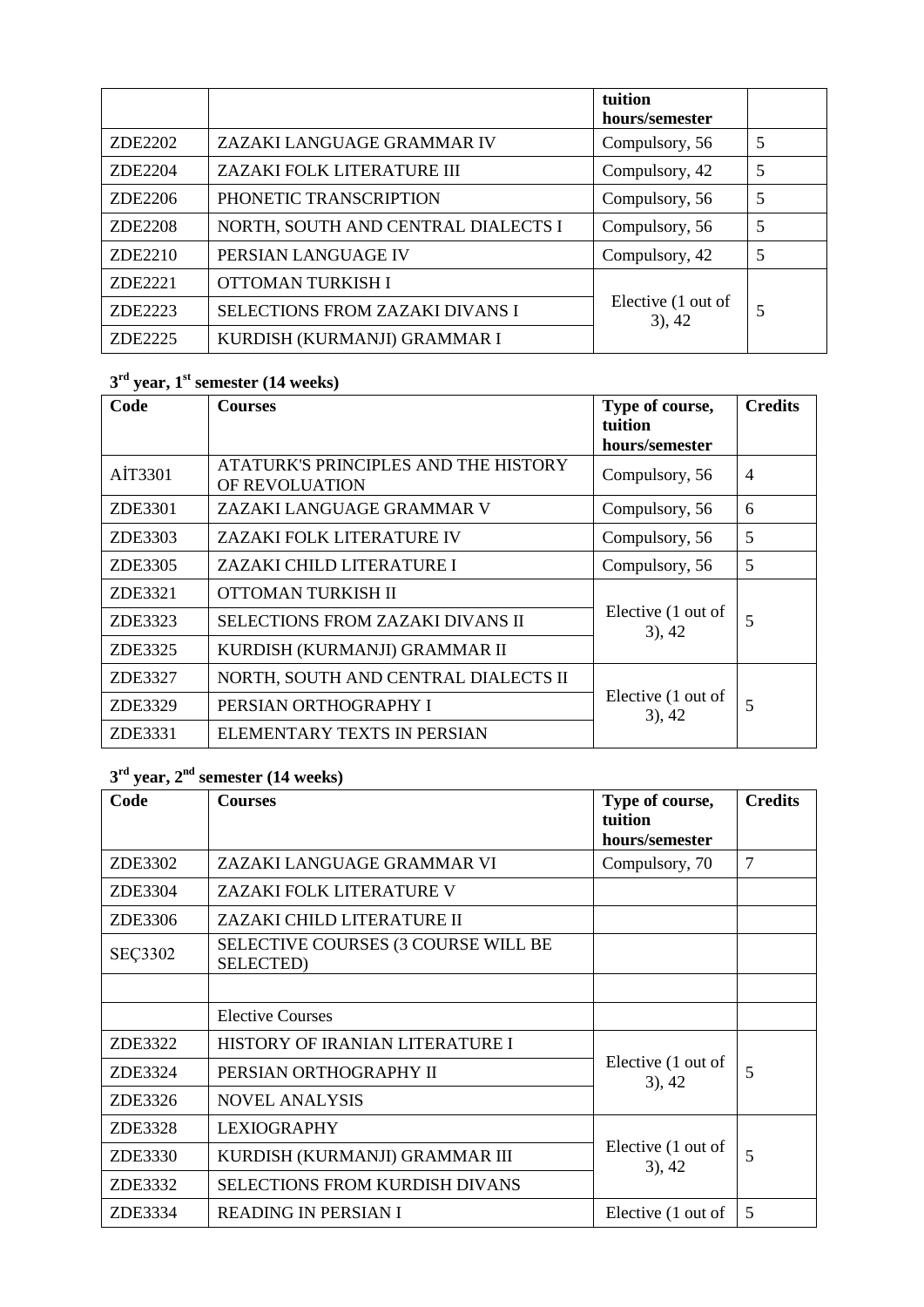|         |                                     | tuition<br>hours/semester       |   |
|---------|-------------------------------------|---------------------------------|---|
| ZDE2202 | ZAZAKI LANGUAGE GRAMMAR IV          | Compulsory, 56                  | 5 |
| ZDE2204 | ZAZAKI FOLK LITERATURE III          | Compulsory, 42                  | 5 |
| ZDE2206 | PHONETIC TRANSCRIPTION              | Compulsory, 56                  | 5 |
| ZDE2208 | NORTH, SOUTH AND CENTRAL DIALECTS I | Compulsory, 56                  | 5 |
| ZDE2210 | PERSIAN LANGUAGE IV                 | Compulsory, 42                  | 5 |
| ZDE2221 | OTTOMAN TURKISH I                   | Elective (1 out of<br>$3)$ , 42 | 5 |
| ZDE2223 | SELECTIONS FROM ZAZAKI DIVANS I     |                                 |   |
| ZDE2225 | KURDISH (KURMANJI) GRAMMAR I        |                                 |   |

# **3 rd year, 1 st semester (14 weeks)**

| Code    | <b>Courses</b>                                         | Type of course,<br>tuition      | <b>Credits</b> |
|---------|--------------------------------------------------------|---------------------------------|----------------|
|         |                                                        | hours/semester                  |                |
| AİT3301 | ATATURK'S PRINCIPLES AND THE HISTORY<br>OF REVOLUATION | Compulsory, 56                  | $\overline{4}$ |
| ZDE3301 | ZAZAKI LANGUAGE GRAMMAR V                              | Compulsory, 56                  | 6              |
| ZDE3303 | ZAZAKI FOLK LITERATURE IV                              | Compulsory, 56                  | 5              |
| ZDE3305 | ZAZAKI CHILD LITERATURE I                              | Compulsory, 56                  | 5              |
| ZDE3321 | OTTOMAN TURKISH II                                     |                                 |                |
| ZDE3323 | SELECTIONS FROM ZAZAKI DIVANS II                       | Elective (1 out of<br>$3)$ , 42 | 5              |
| ZDE3325 | KURDISH (KURMANJI) GRAMMAR II                          |                                 |                |
| ZDE3327 | NORTH, SOUTH AND CENTRAL DIALECTS II                   |                                 |                |
| ZDE3329 | PERSIAN ORTHOGRAPHY I                                  | Elective (1 out of<br>$3)$ , 42 | 5              |
| ZDE3331 | ELEMENTARY TEXTS IN PERSIAN                            |                                 |                |

# **3 rd year, 2 nd semester (14 weeks)**

| Code           | <b>Courses</b>                                           | Type of course,                 | <b>Credits</b> |
|----------------|----------------------------------------------------------|---------------------------------|----------------|
|                |                                                          | tuition<br>hours/semester       |                |
| ZDE3302        | ZAZAKI LANGUAGE GRAMMAR VI                               | Compulsory, 70                  | 7              |
| ZDE3304        | ZAZAKI FOLK LITERATURE V                                 |                                 |                |
| ZDE3306        | ZAZAKI CHILD LITERATURE II                               |                                 |                |
| <b>SEÇ3302</b> | SELECTIVE COURSES (3 COURSE WILL BE<br><b>SELECTED</b> ) |                                 |                |
|                |                                                          |                                 |                |
|                | Elective Courses                                         |                                 |                |
| ZDE3322        | HISTORY OF IRANIAN LITERATURE I                          |                                 | 5              |
| ZDE3324        | PERSIAN ORTHOGRAPHY II                                   | Elective (1 out of<br>$3)$ , 42 |                |
| ZDE3326        | <b>NOVEL ANALYSIS</b>                                    |                                 |                |
| ZDE3328        | <b>LEXIOGRAPHY</b>                                       |                                 | 5              |
| ZDE3330        | KURDISH (KURMANJI) GRAMMAR III                           | Elective (1 out of<br>$3)$ , 42 |                |
| ZDE3332        | <b>SELECTIONS FROM KURDISH DIVANS</b>                    |                                 |                |
| ZDE3334        | <b>READING IN PERSIAN I</b>                              | Elective (1 out of              | 5              |